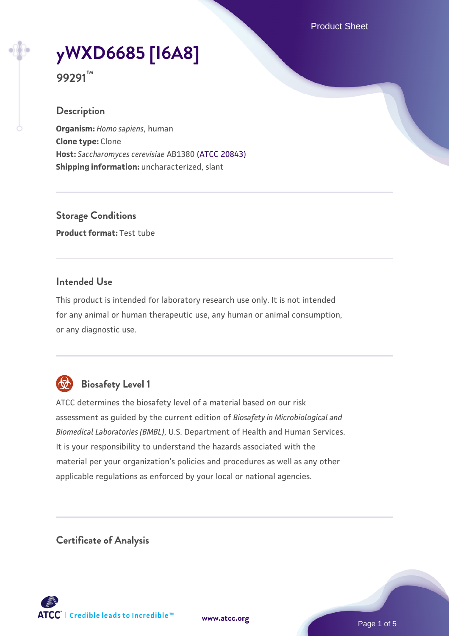Product Sheet

# **[yWXD6685 \[I6A8\]](https://www.atcc.org/products/99291)**

**99291™**

## **Description**

**Organism:** *Homo sapiens*, human **Clone type:** Clone **Host:** *Saccharomyces cerevisiae* AB1380 [\(ATCC 20843\)](https://www.atcc.org/products/20843) **Shipping information:** uncharacterized, slant

**Storage Conditions Product format:** Test tube

## **Intended Use**

This product is intended for laboratory research use only. It is not intended for any animal or human therapeutic use, any human or animal consumption, or any diagnostic use.



# **Biosafety Level 1**

ATCC determines the biosafety level of a material based on our risk assessment as guided by the current edition of *Biosafety in Microbiological and Biomedical Laboratories (BMBL)*, U.S. Department of Health and Human Services. It is your responsibility to understand the hazards associated with the material per your organization's policies and procedures as well as any other applicable regulations as enforced by your local or national agencies.

**Certificate of Analysis**

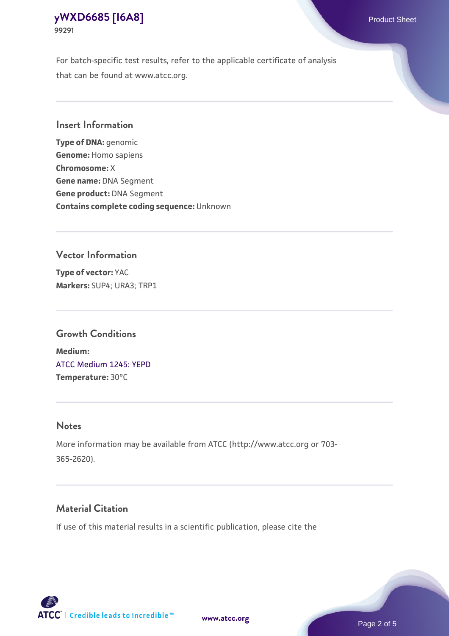For batch-specific test results, refer to the applicable certificate of analysis that can be found at www.atcc.org.

### **Insert Information**

**Type of DNA:** genomic **Genome:** Homo sapiens **Chromosome:** X **Gene name:** DNA Segment **Gene product:** DNA Segment **Contains complete coding sequence:** Unknown

#### **Vector Information**

**Type of vector:** YAC **Markers:** SUP4; URA3; TRP1

#### **Growth Conditions**

**Medium:**  [ATCC Medium 1245: YEPD](https://www.atcc.org/-/media/product-assets/documents/microbial-media-formulations/1/2/4/5/atcc-medium-1245.pdf?rev=705ca55d1b6f490a808a965d5c072196) **Temperature:** 30°C

#### **Notes**

More information may be available from ATCC (http://www.atcc.org or 703- 365-2620).

## **Material Citation**

If use of this material results in a scientific publication, please cite the

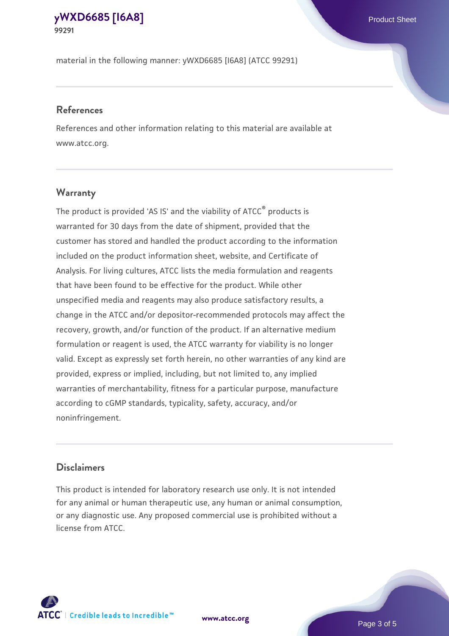material in the following manner: yWXD6685 [I6A8] (ATCC 99291)

### **References**

References and other information relating to this material are available at www.atcc.org.

## **Warranty**

The product is provided 'AS IS' and the viability of ATCC® products is warranted for 30 days from the date of shipment, provided that the customer has stored and handled the product according to the information included on the product information sheet, website, and Certificate of Analysis. For living cultures, ATCC lists the media formulation and reagents that have been found to be effective for the product. While other unspecified media and reagents may also produce satisfactory results, a change in the ATCC and/or depositor-recommended protocols may affect the recovery, growth, and/or function of the product. If an alternative medium formulation or reagent is used, the ATCC warranty for viability is no longer valid. Except as expressly set forth herein, no other warranties of any kind are provided, express or implied, including, but not limited to, any implied warranties of merchantability, fitness for a particular purpose, manufacture according to cGMP standards, typicality, safety, accuracy, and/or noninfringement.

### **Disclaimers**

This product is intended for laboratory research use only. It is not intended for any animal or human therapeutic use, any human or animal consumption, or any diagnostic use. Any proposed commercial use is prohibited without a license from ATCC.

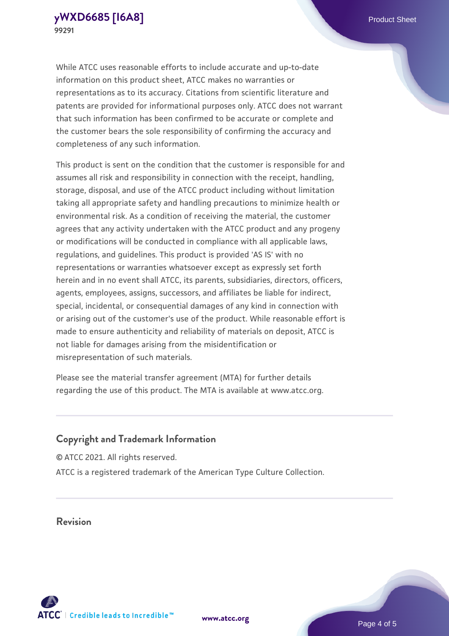While ATCC uses reasonable efforts to include accurate and up-to-date information on this product sheet, ATCC makes no warranties or representations as to its accuracy. Citations from scientific literature and patents are provided for informational purposes only. ATCC does not warrant that such information has been confirmed to be accurate or complete and the customer bears the sole responsibility of confirming the accuracy and completeness of any such information.

This product is sent on the condition that the customer is responsible for and assumes all risk and responsibility in connection with the receipt, handling, storage, disposal, and use of the ATCC product including without limitation taking all appropriate safety and handling precautions to minimize health or environmental risk. As a condition of receiving the material, the customer agrees that any activity undertaken with the ATCC product and any progeny or modifications will be conducted in compliance with all applicable laws, regulations, and guidelines. This product is provided 'AS IS' with no representations or warranties whatsoever except as expressly set forth herein and in no event shall ATCC, its parents, subsidiaries, directors, officers, agents, employees, assigns, successors, and affiliates be liable for indirect, special, incidental, or consequential damages of any kind in connection with or arising out of the customer's use of the product. While reasonable effort is made to ensure authenticity and reliability of materials on deposit, ATCC is not liable for damages arising from the misidentification or misrepresentation of such materials.

Please see the material transfer agreement (MTA) for further details regarding the use of this product. The MTA is available at www.atcc.org.

## **Copyright and Trademark Information**

© ATCC 2021. All rights reserved. ATCC is a registered trademark of the American Type Culture Collection.

**Revision**



**[www.atcc.org](http://www.atcc.org)**

Page 4 of 5